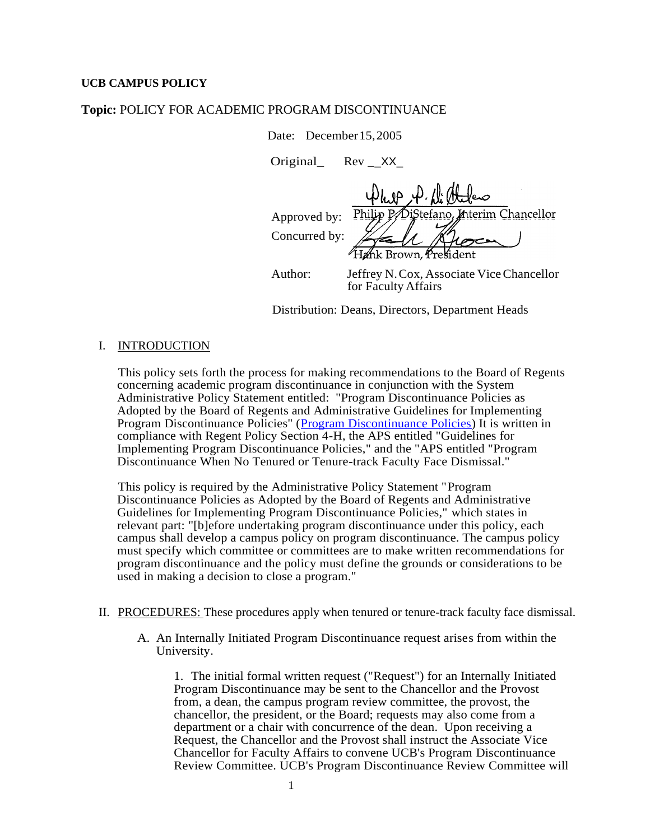## **UCB CAMPUS POLICY**

## **Topic:** POLICY FOR ACADEMIC PROGRAM DISCONTINUANCE

Date: December 15, 2005

Original\_ Rev \_\_XX\_

**n**terim Chancellor Approved by: DiStefano, Concurred by: Author: Jeffrey N.Cox, Associate ViceChancellor for Faculty Affairs

Distribution: Deans, Directors, Department Heads

## I. INTRODUCTION

This policy sets forth the process for making recommendations to the Board of Regents concerning academic program discontinuance in conjunction with the System Administrative Policy Statement entitled: "Program Discontinuance Policies as Adopted by the Board of Regents and Administrative Guidelines for Implementing Program Discontinuance Policies" [\(Program Discontinuance Policies\)](http://www.cu.edu/regents/Policies/Policy4H.htm) It is written in compliance with Regent Policy Section 4-H, the APS entitled "Guidelines for Implementing Program Discontinuance Policies," and the "APS entitled "Program Discontinuance When No Tenured or Tenure-track Faculty Face Dismissal."

This policy is required by the Administrative Policy Statement "Program Discontinuance Policies as Adopted by the Board of Regents and Administrative Guidelines for Implementing Program Discontinuance Policies," which states in relevant part: "[b]efore undertaking program discontinuance under this policy, each campus shall develop a campus policy on program discontinuance. The campus policy must specify which committee or committees are to make written recommendations for program discontinuance and the policy must define the grounds or considerations to be used in making a decision to close a program."

- II. PROCEDURES: These procedures apply when tenured or tenure-track faculty face dismissal.
	- A. An Internally Initiated Program Discontinuance request arises from within the University.

1. The initial formal written request ("Request") for an Internally Initiated Program Discontinuance may be sent to the Chancellor and the Provost from, a dean, the campus program review committee, the provost, the chancellor, the president, or the Board; requests may also come from a department or a chair with concurrence of the dean. Upon receiving a Request, the Chancellor and the Provost shall instruct the Associate Vice Chancellor for Faculty Affairs to convene UCB's Program Discontinuance Review Committee. UCB's Program Discontinuance Review Committee will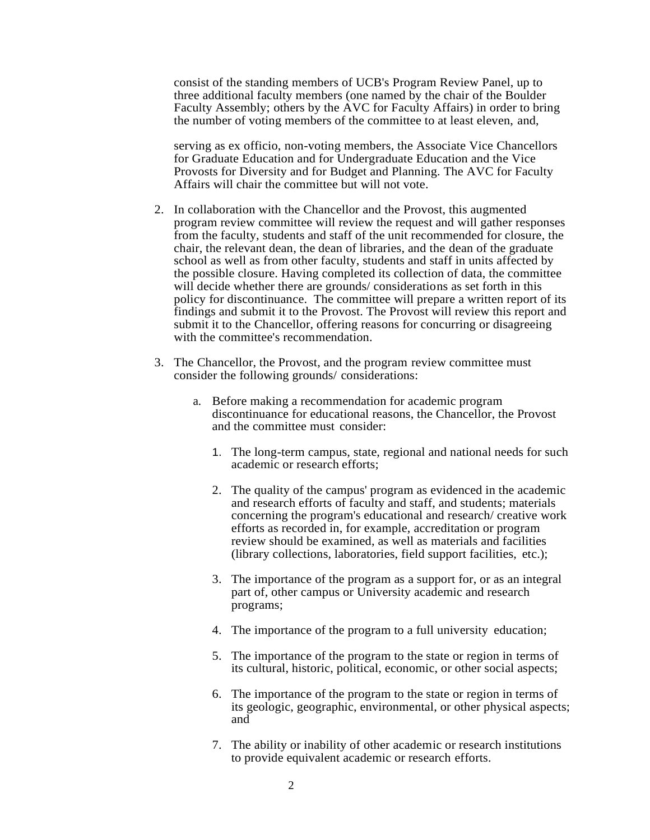consist of the standing members of UCB's Program Review Panel, up to three additional faculty members (one named by the chair of the Boulder Faculty Assembly; others by the AVC for Faculty Affairs) in order to bring the number of voting members of the committee to at least eleven, and,

serving as ex officio, non-voting members, the Associate Vice Chancellors for Graduate Education and for Undergraduate Education and the Vice Provosts for Diversity and for Budget and Planning. The AVC for Faculty Affairs will chair the committee but will not vote.

- 2. In collaboration with the Chancellor and the Provost, this augmented program review committee will review the request and will gather responses from the faculty, students and staff of the unit recommended for closure, the chair, the relevant dean, the dean of libraries, and the dean of the graduate school as well as from other faculty, students and staff in units affected by the possible closure. Having completed its collection of data, the committee will decide whether there are grounds/considerations as set forth in this policy for discontinuance. The committee will prepare a written report of its findings and submit it to the Provost. The Provost will review this report and submit it to the Chancellor, offering reasons for concurring or disagreeing with the committee's recommendation.
- 3. The Chancellor, the Provost, and the program review committee must consider the following grounds/ considerations:
	- a. Before making a recommendation for academic program discontinuance for educational reasons, the Chancellor, the Provost and the committee must consider:
		- 1. The long-term campus, state, regional and national needs for such academic or research efforts;
		- 2. The quality of the campus' program as evidenced in the academic and research efforts of faculty and staff, and students; materials concerning the program's educational and research/ creative work efforts as recorded in, for example, accreditation or program review should be examined, as well as materials and facilities (library collections, laboratories, field support facilities, etc.);
		- 3. The importance of the program as a support for, or as an integral part of, other campus or University academic and research programs;
		- 4. The importance of the program to a full university education;
		- 5. The importance of the program to the state or region in terms of its cultural, historic, political, economic, or other social aspects;
		- 6. The importance of the program to the state or region in terms of its geologic, geographic, environmental, or other physical aspects; and
		- 7. The ability or inability of other academic or research institutions to provide equivalent academic or research efforts.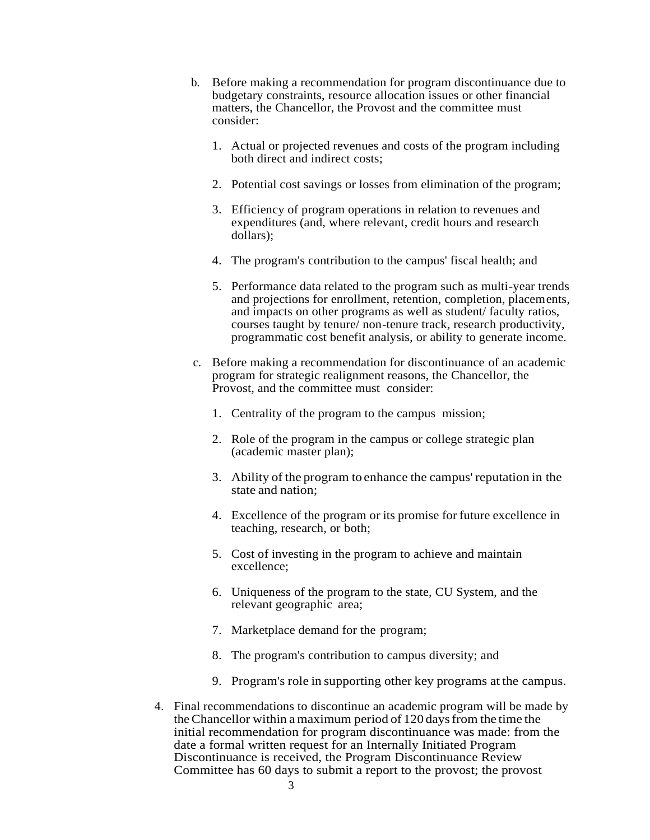- b. Before making a recommendation for program discontinuance due to budgetary constraints, resource allocation issues or other financial matters, the Chancellor, the Provost and the committee must consider:
	- 1. Actual or projected revenues and costs of the program including both direct and indirect costs;
	- 2. Potential cost savings or losses from elimination of the program;
	- 3. Efficiency of program operations in relation to revenues and expenditures (and, where relevant, credit hours and research dollars);
	- 4. The program's contribution to the campus' fiscal health; and
	- 5. Performance data related to the program such as multi-year trends and projections for enrollment, retention, completion, placements, and impacts on other programs as well as student/ faculty ratios, courses taught by tenure/ non-tenure track, research productivity, programmatic cost benefit analysis, or ability to generate income.
- c. Before making a recommendation for discontinuance of an academic program for strategic realignment reasons, the Chancellor, the Provost, and the committee must consider:
	- 1. Centrality of the program to the campus mission;
	- 2. Role of the program in the campus or college strategic plan (academic master plan);
	- 3. Ability of the program to enhance the campus' reputation in the state and nation;
	- 4. Excellence of the program or its promise for future excellence in teaching, research, or both;
	- 5. Cost of investing in the program to achieve and maintain excellence;
	- 6. Uniqueness of the program to the state, CU System, and the relevant geographic area;
	- 7. Marketplace demand for the program;
	- 8. The program's contribution to campus diversity; and
	- 9. Program's role in supporting other key programs at the campus.
- 4. Final recommendations to discontinue an academic program will be made by the Chancellor within a maximum period of 120 days from the time the initial recommendation for program discontinuance was made: from the date a formal written request for an Internally Initiated Program Discontinuance is received, the Program Discontinuance Review Committee has 60 days to submit a report to the provost; the provost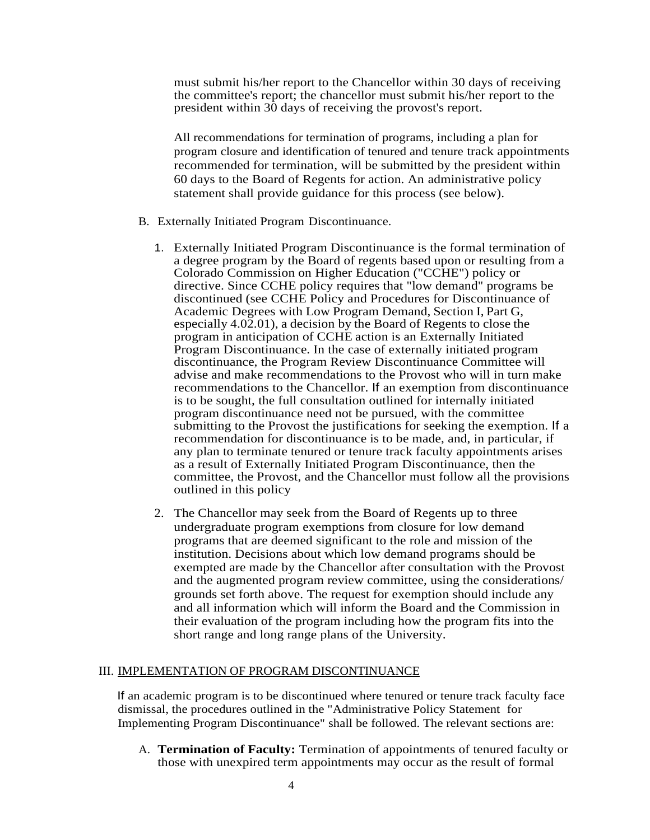must submit his/her report to the Chancellor within 30 days of receiving the committee's report; the chancellor must submit his/her report to the president within 30 days of receiving the provost's report.

All recommendations for termination of programs, including a plan for program closure and identification of tenured and tenure track appointments recommended for termination, will be submitted by the president within 60 days to the Board of Regents for action. An administrative policy statement shall provide guidance for this process (see below).

- B. Externally Initiated Program Discontinuance.
	- 1. Externally Initiated Program Discontinuance is the formal termination of a degree program by the Board of regents based upon or resulting from a Colorado Commission on Higher Education ("CCHE") policy or directive. Since CCHE policy requires that "low demand" programs be discontinued (see CCHE Policy and Procedures for Discontinuance of Academic Degrees with Low Program Demand, Section I, Part G, especially 4.02.01), a decision by the Board of Regents to close the program in anticipation of CCHE action is an Externally Initiated Program Discontinuance. In the case of externally initiated program discontinuance, the Program Review Discontinuance Committee will advise and make recommendations to the Provost who will in turn make recommendations to the Chancellor. If an exemption from discontinuance is to be sought, the full consultation outlined for internally initiated program discontinuance need not be pursued, with the committee submitting to the Provost the justifications for seeking the exemption. If a recommendation for discontinuance is to be made, and, in particular, if any plan to terminate tenured or tenure track faculty appointments arises as a result of Externally Initiated Program Discontinuance, then the committee, the Provost, and the Chancellor must follow all the provisions outlined in this policy
	- 2. The Chancellor may seek from the Board of Regents up to three undergraduate program exemptions from closure for low demand programs that are deemed significant to the role and mission of the institution. Decisions about which low demand programs should be exempted are made by the Chancellor after consultation with the Provost and the augmented program review committee, using the considerations/ grounds set forth above. The request for exemption should include any and all information which will inform the Board and the Commission in their evaluation of the program including how the program fits into the short range and long range plans of the University.

## III. IMPLEMENTATION OF PROGRAM DISCONTINUANCE

If an academic program is to be discontinued where tenured or tenure track faculty face dismissal, the procedures outlined in the "Administrative Policy Statement for Implementing Program Discontinuance" shall be followed. The relevant sections are:

A. **Termination of Faculty:** Termination of appointments of tenured faculty or those with unexpired term appointments may occur as the result of formal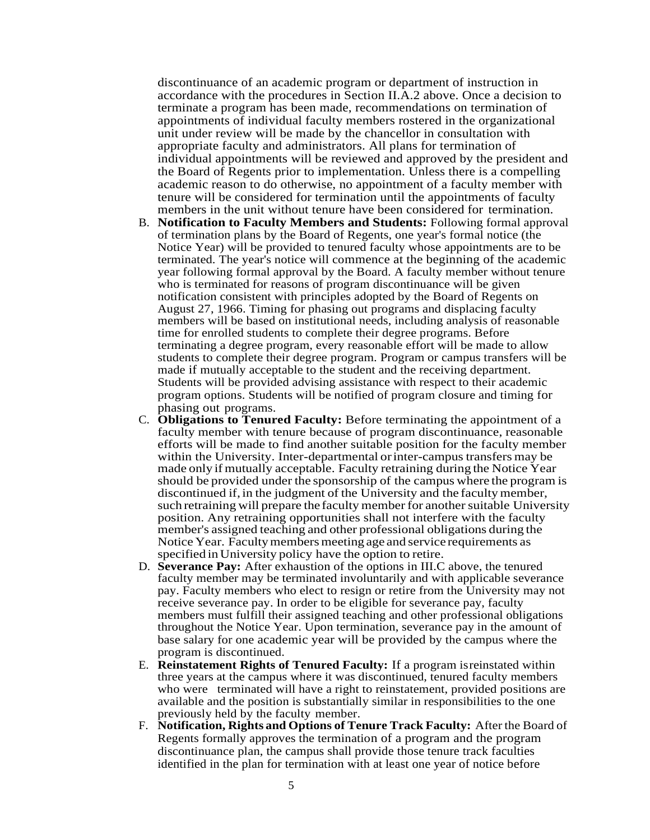discontinuance of an academic program or department of instruction in accordance with the procedures in Section II.A.2 above. Once a decision to terminate a program has been made, recommendations on termination of appointments of individual faculty members rostered in the organizational unit under review will be made by the chancellor in consultation with appropriate faculty and administrators. All plans for termination of individual appointments will be reviewed and approved by the president and the Board of Regents prior to implementation. Unless there is a compelling academic reason to do otherwise, no appointment of a faculty member with tenure will be considered for termination until the appointments of faculty members in the unit without tenure have been considered for termination.

- B. **Notification to Faculty Members and Students:** Following formal approval of termination plans by the Board of Regents, one year's formal notice (the Notice Year) will be provided to tenured faculty whose appointments are to be terminated. The year's notice will commence at the beginning of the academic year following formal approval by the Board. A faculty member without tenure who is terminated for reasons of program discontinuance will be given notification consistent with principles adopted by the Board of Regents on August 27, 1966. Timing for phasing out programs and displacing faculty members will be based on institutional needs, including analysis of reasonable time for enrolled students to complete their degree programs. Before terminating a degree program, every reasonable effort will be made to allow students to complete their degree program. Program or campus transfers will be made if mutually acceptable to the student and the receiving department. Students will be provided advising assistance with respect to their academic program options. Students will be notified of program closure and timing for phasing out programs.
- C. **Obligations to Tenured Faculty:**  Before terminating the appointment of a faculty member with tenure because of program discontinuance, reasonable efforts will be made to find another suitable position for the faculty member within the University. Inter-departmental or inter-campus transfers may be made only if mutually acceptable. Faculty retraining during the Notice Year should be provided under the sponsorship of the campus where the program is discontinued if, in the judgment of the University and the faculty member, such retraining will prepare the faculty member for another suitable University position. Any retraining opportunities shall not interfere with the faculty member's assigned teaching and other professional obligations during the Notice Year. Faculty members meeting age and service requirements as specified in University policy have the option to retire.
- D. **Severance Pay:** After exhaustion of the options in III.C above, the tenured faculty member may be terminated involuntarily and with applicable severance pay. Faculty members who elect to resign or retire from the University may not receive severance pay. In order to be eligible for severance pay, faculty members must fulfill their assigned teaching and other professional obligations throughout the Notice Year. Upon termination, severance pay in the amount of base salary for one academic year will be provided by the campus where the program is discontinued.
- E. **Reinstatement Rights of Tenured Faculty:** If a program is reinstated within three years at the campus where it was discontinued, tenured faculty members who were terminated will have a right to reinstatement, provided positions are available and the position is substantially similar in responsibilities to the one previously held by the faculty member.
- F. **Notification, Rights and Options of Tenure Track Faculty:** After the Board of Regents formally approves the termination of a program and the program discontinuance plan, the campus shall provide those tenure track faculties identified in the plan for termination with at least one year of notice before